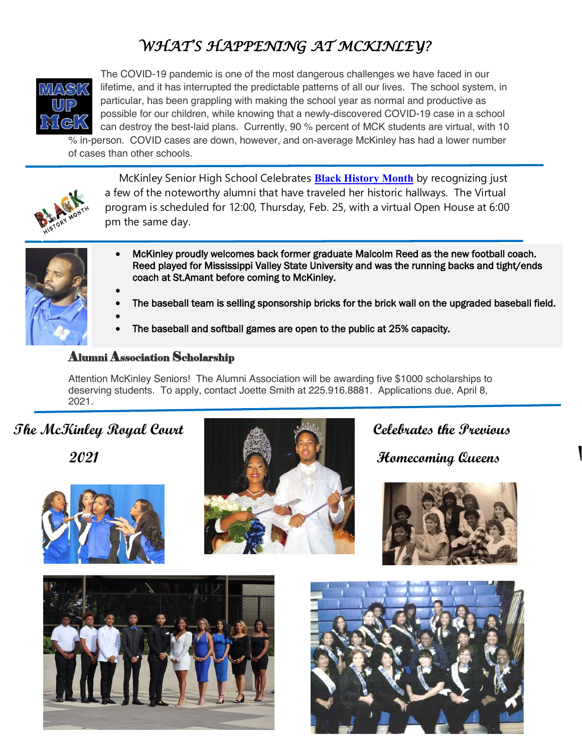## *WHAT·S HAPPENING AT MCKINLEY?*



The COVID-19 pandemic is one of the most dangerous challenges we have faced in our lifetime, and it has interrupted the predictable patterns of all our lives. The school system, in particular, has been grappling with making the school year as normal and productive as possible for our children, while knowing that a newly-discovered COVID-19 case in a school can destroy the best-laid plans. Currently, 90 % percent of MCK students are virtual, with 10 % in-person. COVID cases are down, however, and on-average McKinley has had a lower number

of cases than other schools.

 $\bullet$ 

 $\bullet$ 



 McKinley Senior High School Celebrates **Black [History](https://www.facebook.com/hubs/lift_black_voices/?entry_point=YmxhY2tfaGlzdG9yeV9tb250aF90ZXh0X2RlbGlnaHQ=&__cft__%5B0%5D=AZVFBen7fMbJ0zKH0Up35KbAMUq67xlEYOiM4273hUQ0Np85kDxJiWxDCUcm41IPsrnQVwRCgngWvcIAwe8DkkW4xNpowyDI7uYW3pZ_NNZD39X1Gb73dDNQUztIM_Rf7GiH-uH5UJg8dVstl8FINysV4Wn8JvpOVNnyxkm70z98_A&__tn__=-UK-R) Month** by recognizing just a few of the noteworthy alumni that have traveled her historic hallways. The Virtual program is scheduled for 12:00, Thursday, Feb. 25, with a virtual Open House at 6:00 pm the same day.



- McKinley proudly welcomes back former graduate Malcolm Reed as the new football coach. Reed played for Mississippi Valley State University and was the running backs and tight/ends coach at St.Amant before coming to McKinley.
- The baseball team is selling sponsorship bricks for the brick wall on the upgraded baseball field.
- The baseball and softball games are open to the public at 25% capacity.

### Alumni Association Scholarship

Attention McKinley Seniors! The Alumni Association will be awarding five \$1000 scholarships to deserving students. To apply, contact Joette Smith at 225.916.8881. Applications due, April 8, 2021.

### **The McKinley Royal Court Course Court Celebrates the Previous**